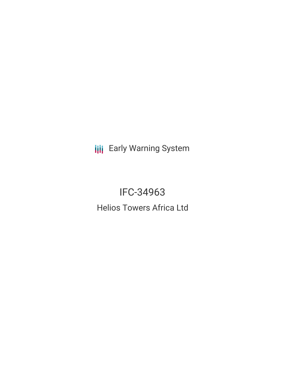**III** Early Warning System

IFC-34963 Helios Towers Africa Ltd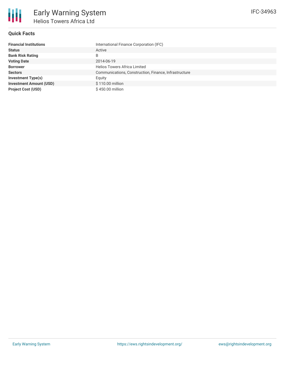

### **Quick Facts**

| <b>Financial Institutions</b>  | International Finance Corporation (IFC)               |
|--------------------------------|-------------------------------------------------------|
| <b>Status</b>                  | Active                                                |
| <b>Bank Risk Rating</b>        | B                                                     |
| <b>Voting Date</b>             | 2014-06-19                                            |
| <b>Borrower</b>                | <b>Helios Towers Africa Limited</b>                   |
| <b>Sectors</b>                 | Communications, Construction, Finance, Infrastructure |
| <b>Investment Type(s)</b>      | Equity                                                |
| <b>Investment Amount (USD)</b> | $$110.00$ million                                     |
| <b>Project Cost (USD)</b>      | \$450.00 million                                      |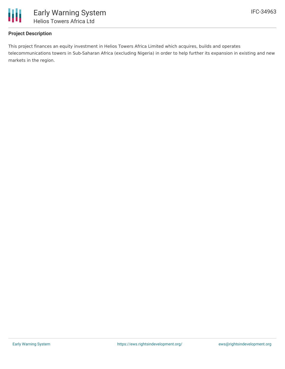

# **Project Description**

This project finances an equity investment in Helios Towers Africa Limited which acquires, builds and operates telecommunications towers in Sub-Saharan Africa (excluding Nigeria) in order to help further its expansion in existing and new markets in the region.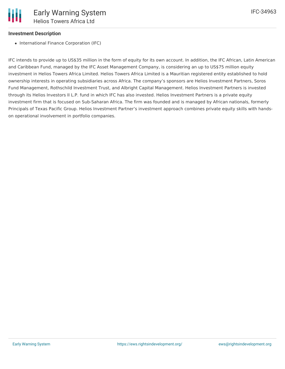### **Investment Description**

• International Finance Corporation (IFC)

IFC intends to provide up to US\$35 million in the form of equity for its own account. In addition, the IFC African, Latin American and Caribbean Fund, managed by the IFC Asset Management Company, is considering an up to US\$75 million equity investment in Helios Towers Africa Limited. Helios Towers Africa Limited is a Mauritian registered entity established to hold ownership interests in operating subsidiaries across Africa. The company's sponsors are Helios Investment Partners, Soros Fund Management, Rothschild Investment Trust, and Albright Capital Management. Helios Investment Partners is invested through its Helios Investors II L.P. fund in which IFC has also invested. Helios Investment Partners is a private equity investment firm that is focused on Sub-Saharan Africa. The firm was founded and is managed by African nationals, formerly Principals of Texas Pacific Group. Helios Investment Partner's investment approach combines private equity skills with handson operational involvement in portfolio companies.